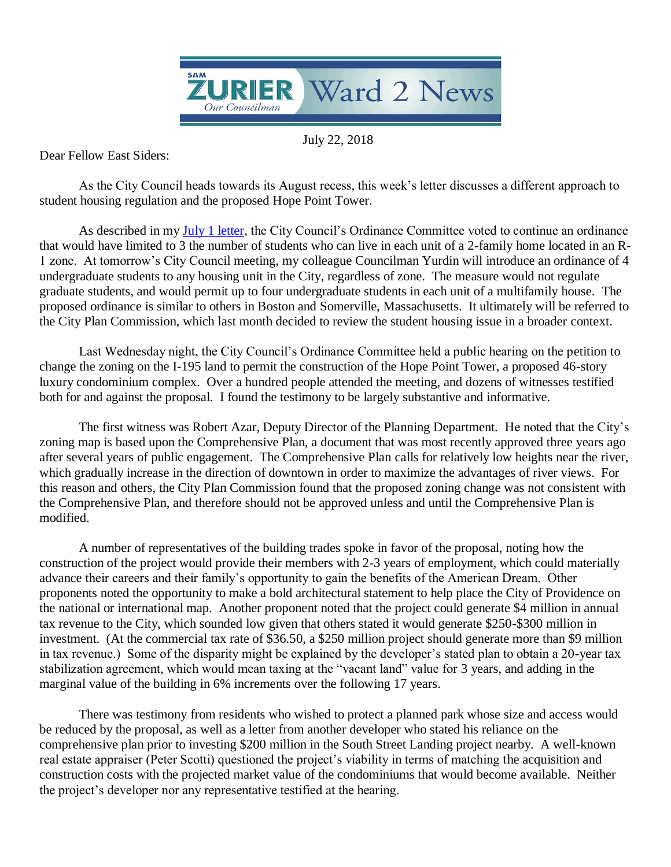

July 22, 2018

Dear Fellow East Siders:

student housing regulation and the proposed Hope Point Tower. As the City Council heads towards its August recess, this week's letter discusses a different approach to

As described in my July 1 letter, the City Council's Ordinance Committee voted to continue an ordinance that would have limited to 3 the number of students who can live in each unit of a 2-family home located in an R-1 zone. At tomorrow's City Council meeting, my colleague Councilman Yurdin will introduce an ordinance of 4 undergraduate students to any housing unit in the City, regardless of zone. The measure would not regulate graduate students, and would permit up to four undergraduate students in each unit of a multifamily house. The proposed ordinance is similar to others in Boston and Somerville, Massachusetts. It ultimately will be referred to the City Plan Commission, which last month decided to review the student housing issue in a broader context.

Last Wednesday night, the City Council's Ordinance Committee held a public hearing on the petition to change the zoning on the I-195 land to permit the construction of the Hope Point Tower, a proposed 46-story luxury condominium complex. Over a hundred people attended the meeting, and dozens of witnesses testified both for and against the proposal. I found the testimony to be largely substantive and informative.

The first witness was Robert Azar, Deputy Director of the Planning Department. He noted that the City's zoning map is based upon the Comprehensive Plan, a document that was most recently approved three years ago after several years of public engagement. The Comprehensive Plan calls for relatively low heights near the river, which gradually increase in the direction of downtown in order to maximize the advantages of river views. For this reason and others, the City Plan Commission found that the proposed zoning change was not consistent with the Comprehensive Plan, and therefore should not be approved unless and until the Comprehensive Plan is modified.

A number of representatives of the building trades spoke in favor of the proposal, noting how the construction of the project would provide their members with 2-3 years of employment, which could materially advance their careers and their family's opportunity to gain the benefits of the American Dream. Other proponents noted the opportunity to make a bold architectural statement to help place the City of Providence on the national or international map. Another proponent noted that the project could generate \$4 million in annual tax revenue to the City, which sounded low given that others stated it would generate \$250-\$300 million in investment. (At the commercial tax rate of \$36.50, a \$250 million project should generate more than \$9 million in tax revenue.) Some of the disparity might be explained by the developer's stated plan to obtain a 20-year tax stabilization agreement, which would mean taxing at the "vacant land" value for 3 years, and adding in the marginal value of the building in 6% increments over the following 17 years.

There was testimony from residents who wished to protect a planned park whose size and access would be reduced by the proposal, as well as a letter from another developer who stated his reliance on the comprehensive plan prior to investing \$200 million in the South Street Landing project nearby. A well-known real estate appraiser (Peter Scotti) questioned the project's viability in terms of matching the acquisition and construction costs with the projected market value of the condominiums that would become available. Neither the project's developer nor any representative testified at the hearing.